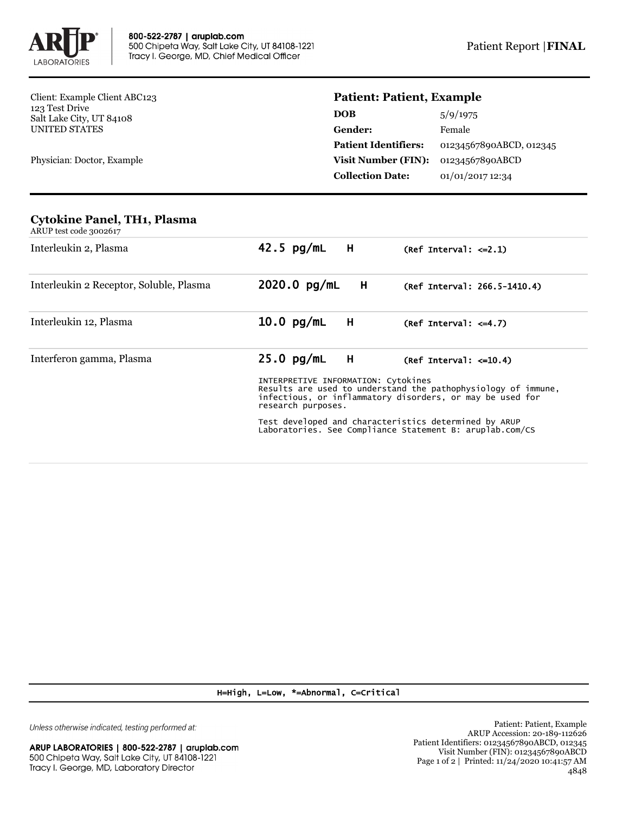

Client: Example Client ABC123 123 Test Drive Salt Lake City, UT 84108 UNITED STATES

Physician: Doctor, Example

## **Patient: Patient, Example**

| <b>DOB</b>                  | 5/9/1975                |
|-----------------------------|-------------------------|
| <b>Gender:</b>              | Female                  |
| <b>Patient Identifiers:</b> | 01234567890ABCD, 012345 |
| <b>Visit Number (FIN):</b>  | 01234567890ABCD         |
| <b>Collection Date:</b>     | 01/01/2017 12:34        |
|                             |                         |

## **Cytokine Panel, TH1, Plasma**

| ARUP test code 3002617                  |                                                                                                                                                                                                                                                                                                              |                              |  |  |
|-----------------------------------------|--------------------------------------------------------------------------------------------------------------------------------------------------------------------------------------------------------------------------------------------------------------------------------------------------------------|------------------------------|--|--|
| Interleukin 2, Plasma                   | 42.5 $pg/mL$ H                                                                                                                                                                                                                                                                                               | $(Ref Interval: <=2.1)$      |  |  |
| Interleukin 2 Receptor, Soluble, Plasma | $2020.0$ pg/mL<br>H                                                                                                                                                                                                                                                                                          | (Ref Interval: 266.5-1410.4) |  |  |
| Interleukin 12, Plasma                  | $10.0$ pg/mL<br>H                                                                                                                                                                                                                                                                                            | $(Ref Interval: <=4.7)$      |  |  |
| Interferon gamma, Plasma                | $25.0$ pg/mL<br>H                                                                                                                                                                                                                                                                                            | $(Ref Interval: < = 10.4)$   |  |  |
|                                         | INTERPRETIVE INFORMATION: Cytokines<br>Results are used to understand the pathophysiology of immune,<br>infectious, or inflammatory disorders, or may be used for<br>research purposes.<br>Test developed and characteristics determined by ARUP<br>Laboratories. See Compliance Statement B: aruplab.com/CS |                              |  |  |

H=High, L=Low, \*=Abnormal, C=Critical

Unless otherwise indicated, testing performed at: